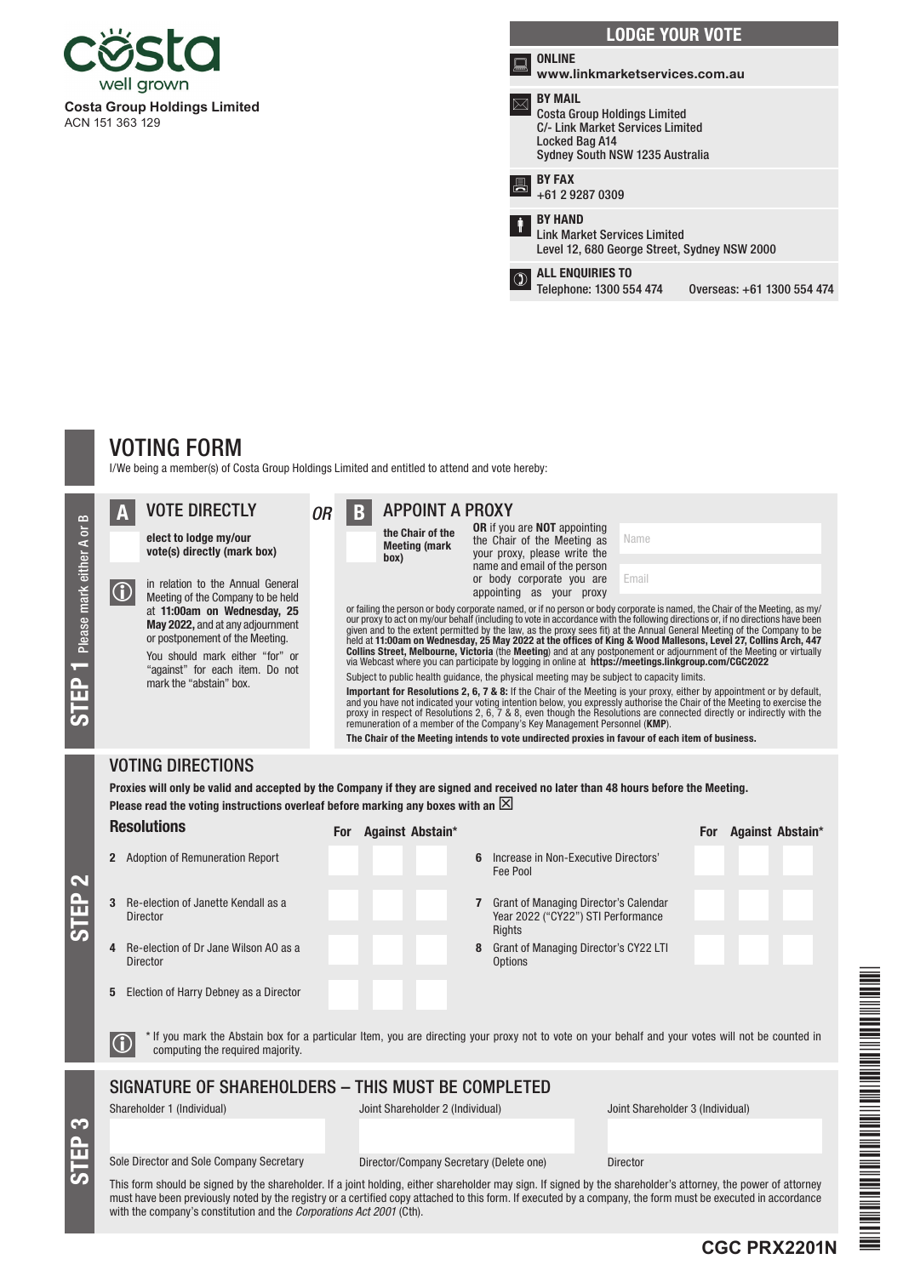

|   | <b>LODGE YOUR VOTE</b>                                                                                                                         |
|---|------------------------------------------------------------------------------------------------------------------------------------------------|
|   | <b>ONLINE</b><br>www.linkmarketservices.com.au                                                                                                 |
|   | <b>BY MAIL</b><br><b>Costa Group Holdings Limited</b><br>C/- Link Market Services Limited<br>Locked Bag A14<br>Sydney South NSW 1235 Australia |
| 昌 | <b>BY FAX</b><br>+61 2 9287 0309                                                                                                               |
| ŧ | <b>BY HAND</b><br><b>Link Market Services Limited</b><br>Level 12, 680 George Street, Sydney NSW 2000                                          |
|   | <b>ALL ENQUIRIES TO</b><br>Telephone: 1300 554 474<br>Overseas: +61 1300 554 474                                                               |
|   |                                                                                                                                                |

# VOTING FORM

STEP 3

STEP 2

I/We being a member(s) of Costa Group Holdings Limited and entitled to attend and vote hereby:

| œ<br>5<br>either<br>mark<br>Please<br><u>유</u><br>$\sigma$ | $\bigcirc$ | <b>VOTE DIRECTLY</b><br>elect to lodge my/our<br>vote(s) directly (mark box)<br>in relation to the Annual General<br>Meeting of the Company to be held<br>at 11:00am on Wednesday, 25<br>May 2022, and at any adjournment<br>or postponement of the Meeting.<br>You should mark either "for" or<br>"against" for each item. Do not<br>mark the "abstain" box. | B | <b>APPOINT A PROXY</b><br>the Chair of the<br><b>Meeting (mark</b><br>(box | <b>OR</b> if you are <b>NOT</b> appointing<br>the Chair of the Meeting as<br>your proxy, please write the<br>name and email of the person<br>or body corporate you are<br>appointing as your proxy<br>Subject to public health quidance, the physical meeting may be subject to capacity limits.<br>remuneration of a member of the Company's Key Management Personnel (KMP).<br>The Chair of the Meeting intends to vote undirected proxies in favour of each item of business. | Name<br>Email<br>or failing the person or body corporate named, or if no person or body corporate is named, the Chair of the Meeting, as my/<br>our proxy to act on my/our behalf (including to vote in accordance with the following directions or, if no directions have been<br>given and to the extent permitted by the law, as the proxy sees fit) at the Annual General Meeting of the Company to be<br>held at 11:00am on Wednesday, 25 May 2022 at the offices of King & Wood Mallesons, Level 27, Collins Arch, 447<br>Collins Street, Melbourne, Victoria (the Meeting) and at any postponement or adjournment of the Meeting or virtually<br>via Webcast where you can participate by logging in online at https://meetings.linkgroup.com/CGC2022<br><b>Important for Resolutions 2, 6, 7 &amp; 8:</b> If the Chair of the Meeting is your proxy, either by appointment or by default,<br>and you have not indicated your voting intention below, you expressly authorise the Chair of the Meeting to exercise the<br>proxy in respect of Resolutions 2, 6, 7 & 8, even though the Resolutions are connected directly or indirectly with the |
|------------------------------------------------------------|------------|---------------------------------------------------------------------------------------------------------------------------------------------------------------------------------------------------------------------------------------------------------------------------------------------------------------------------------------------------------------|---|----------------------------------------------------------------------------|----------------------------------------------------------------------------------------------------------------------------------------------------------------------------------------------------------------------------------------------------------------------------------------------------------------------------------------------------------------------------------------------------------------------------------------------------------------------------------|---------------------------------------------------------------------------------------------------------------------------------------------------------------------------------------------------------------------------------------------------------------------------------------------------------------------------------------------------------------------------------------------------------------------------------------------------------------------------------------------------------------------------------------------------------------------------------------------------------------------------------------------------------------------------------------------------------------------------------------------------------------------------------------------------------------------------------------------------------------------------------------------------------------------------------------------------------------------------------------------------------------------------------------------------------------------------------------------------------------------------------------------------------|
|                                                            |            | <b>VOTING DIRECTIONS</b>                                                                                                                                                                                                                                                                                                                                      |   |                                                                            |                                                                                                                                                                                                                                                                                                                                                                                                                                                                                  |                                                                                                                                                                                                                                                                                                                                                                                                                                                                                                                                                                                                                                                                                                                                                                                                                                                                                                                                                                                                                                                                                                                                                         |

## Proxies will only be valid and accepted by the Company if they are signed and received no later than 48 hours before the Meeting. Please read the voting instructions overleaf before marking any boxes with an  $\boxtimes$

| <b>Resolutions</b>                                                                                                                                                                                | Against Abstain*<br><b>For</b>                                                               | Against Abstain*<br>For |  |  |  |  |  |  |  |  |
|---------------------------------------------------------------------------------------------------------------------------------------------------------------------------------------------------|----------------------------------------------------------------------------------------------|-------------------------|--|--|--|--|--|--|--|--|
| <b>Adoption of Remuneration Report</b><br>2                                                                                                                                                       | Increase in Non-Executive Directors'<br>ĥ<br>Fee Pool                                        |                         |  |  |  |  |  |  |  |  |
| <b>Re-election of Janette Kendall as a</b><br>3<br><b>Director</b>                                                                                                                                | <b>Grant of Managing Director's Calendar</b><br>Year 2022 ("CY22") STI Performance<br>Rights |                         |  |  |  |  |  |  |  |  |
| Be-election of Dr Jane Wilson AO as a<br>4<br><b>Director</b>                                                                                                                                     | Grant of Managing Director's CY22 LTI<br>8<br>Options                                        |                         |  |  |  |  |  |  |  |  |
| Election of Harry Debney as a Director<br>5<br>* If you mark the Abstain box for a particular Item, you are directing your proxy not to vote on your behalf and your votes will not be counted in |                                                                                              |                         |  |  |  |  |  |  |  |  |
| computing the required majority.                                                                                                                                                                  |                                                                                              |                         |  |  |  |  |  |  |  |  |
| SIGNATURE OF SHAREHOLDERS - THIS MUST BE COMPLETED                                                                                                                                                |                                                                                              |                         |  |  |  |  |  |  |  |  |
| Shareholder 1 (Individual)                                                                                                                                                                        | Joint Shareholder 2 (Individual)<br>Joint Shareholder 3 (Individual)                         |                         |  |  |  |  |  |  |  |  |
| Sole Director and Sole Company Secretary                                                                                                                                                          | Director/Company Secretary (Delete one)<br><b>Director</b>                                   |                         |  |  |  |  |  |  |  |  |
| This form should be signed by the shareholder. If a joint holding, either shareholder may sign. If signed by the shareholder's attorney, the power of attorney                                    |                                                                                              |                         |  |  |  |  |  |  |  |  |

This form should be signed by the shareholder. If a joint holding, either shareholder may sign. If signed by the shareholder's attorney, the power of attorney must have been previously noted by the registry or a certified copy attached to this form. If executed by a company, the form must be executed in accordance with the company's constitution and the *Corporations Act 2001* (Cth).

**CGC PRX2201N**